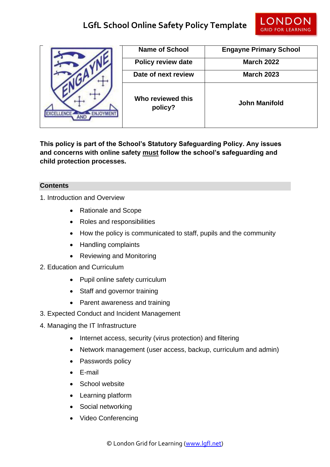## **LGfL School Online Safety Policy Template**



|  | <b>Name of School</b>        | <b>Engayne Primary School</b> |
|--|------------------------------|-------------------------------|
|  | <b>Policy review date</b>    | <b>March 2022</b>             |
|  | Date of next review          | <b>March 2023</b>             |
|  | Who reviewed this<br>policy? | <b>John Manifold</b>          |

**This policy is part of the School's Statutory Safeguarding Policy. Any issues and concerns with online safety must follow the school's safeguarding and child protection processes.**

## **Contents**

- 1. Introduction and Overview
	- Rationale and Scope
	- Roles and responsibilities
	- How the policy is communicated to staff, pupils and the community
	- Handling complaints
	- Reviewing and Monitoring
- 2. Education and Curriculum
	- Pupil online safety curriculum
	- Staff and governor training
	- Parent awareness and training
- 3. Expected Conduct and Incident Management
- 4. Managing the IT Infrastructure
	- Internet access, security (virus protection) and filtering
	- Network management (user access, backup, curriculum and admin)
	- Passwords policy
	- E-mail
	- School website
	- Learning platform
	- Social networking
	- Video Conferencing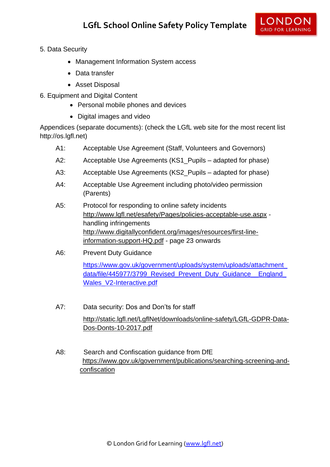

- 5. Data Security
	- Management Information System access
	- Data transfer
	- Asset Disposal
- 6. Equipment and Digital Content
	- Personal mobile phones and devices
	- Digital images and video

Appendices (separate documents): (check the LGfL web site for the most recent list http://os.lgfl.net)

- A1: Acceptable Use Agreement (Staff, Volunteers and Governors)
- A2: Acceptable Use Agreements (KS1 Pupils adapted for phase)
- A3: Acceptable Use Agreements (KS2\_Pupils adapted for phase)
- A4: Acceptable Use Agreement including photo/video permission (Parents)
- A5: Protocol for responding to online safety incidents <http://www.lgfl.net/esafety/Pages/policies-acceptable-use.aspx> handling infringements [http://www.digitallyconfident.org/images/resources/first-line](http://www.digitallyconfident.org/images/resources/first-line-information-support-HQ.pdf)[information-support-HQ.pdf](http://www.digitallyconfident.org/images/resources/first-line-information-support-HQ.pdf) - page 23 onwards
- A6: Prevent Duty Guidance

[https://www.gov.uk/government/uploads/system/uploads/attachment\\_](https://www.gov.uk/government/uploads/system/uploads/attachment_data/file/445977/3799_Revised_Prevent_Duty_Guidance__England_Wales_V2-Interactive.pdf) data/file/445977/3799 Revised Prevent Duty Guidance England [Wales\\_V2-Interactive.pdf](https://www.gov.uk/government/uploads/system/uploads/attachment_data/file/445977/3799_Revised_Prevent_Duty_Guidance__England_Wales_V2-Interactive.pdf)

- A7: Data security: Dos and Don'ts for staff [http://static.lgfl.net/LgflNet/downloads/online-safety/LGfL-GDPR-Data-](http://static.lgfl.net/LgflNet/downloads/online-safety/LGfL-GDPR-Data-Dos-Donts-10-2017.pdf)[Dos-Donts-10-2017.pdf](http://static.lgfl.net/LgflNet/downloads/online-safety/LGfL-GDPR-Data-Dos-Donts-10-2017.pdf)
- A8: Search and Confiscation guidance from DfE [https://www.gov.uk/government/publications/searching-screening-and](https://www.gov.uk/government/publications/searching-screening-and-%20confiscation)[confiscation](https://www.gov.uk/government/publications/searching-screening-and-%20confiscation)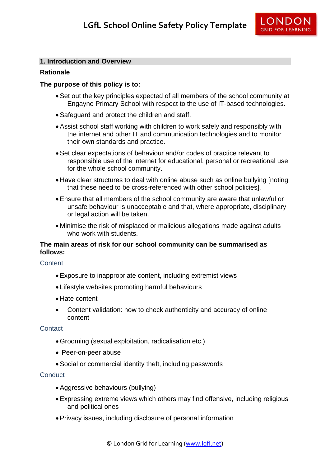

### **1. Introduction and Overview**

### **Rationale**

### **The purpose of this policy is to:**

- Set out the key principles expected of all members of the school community at Engayne Primary School with respect to the use of IT-based technologies.
- Safeguard and protect the children and staff.
- Assist school staff working with children to work safely and responsibly with the internet and other IT and communication technologies and to monitor their own standards and practice.
- Set clear expectations of behaviour and/or codes of practice relevant to responsible use of the internet for educational, personal or recreational use for the whole school community.
- Have clear structures to deal with online abuse such as online bullying [noting that these need to be cross-referenced with other school policies].
- Ensure that all members of the school community are aware that unlawful or unsafe behaviour is unacceptable and that, where appropriate, disciplinary or legal action will be taken.
- Minimise the risk of misplaced or malicious allegations made against adults who work with students.

## **The main areas of risk for our school community can be summarised as follows:**

#### **Content**

- Exposure to inappropriate content, including extremist views
- Lifestyle websites promoting harmful behaviours
- Hate content
- Content validation: how to check authenticity and accuracy of online content

#### **Contact**

- Grooming (sexual exploitation, radicalisation etc.)
- Peer-on-peer abuse
- Social or commercial identity theft, including passwords

#### **Conduct**

- Aggressive behaviours (bullying)
- Expressing extreme views which others may find offensive, including religious and political ones
- Privacy issues, including disclosure of personal information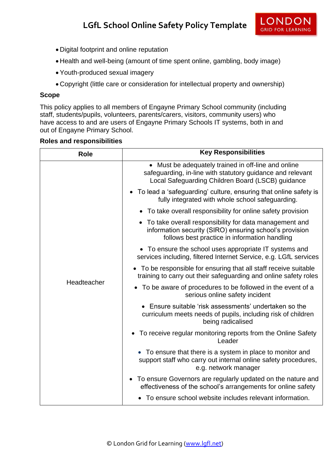

- Digital footprint and online reputation
- Health and well-being (amount of time spent online, gambling, body image)
- Youth-produced sexual imagery
- Copyright (little care or consideration for intellectual property and ownership)

#### **Scope**

This policy applies to all members of Engayne Primary School community (including staff, students/pupils, volunteers, parents/carers, visitors, community users) who have access to and are users of Engayne Primary Schools IT systems, both in and out of Engayne Primary School.

#### **Roles and responsibilities**

| <b>Role</b> | <b>Key Responsibilities</b>                                                                                                                                            |
|-------------|------------------------------------------------------------------------------------------------------------------------------------------------------------------------|
| Headteacher | • Must be adequately trained in off-line and online<br>safeguarding, in-line with statutory guidance and relevant<br>Local Safeguarding Children Board (LSCB) guidance |
|             | • To lead a 'safeguarding' culture, ensuring that online safety is<br>fully integrated with whole school safeguarding.                                                 |
|             | • To take overall responsibility for online safety provision                                                                                                           |
|             | • To take overall responsibility for data management and<br>information security (SIRO) ensuring school's provision<br>follows best practice in information handling   |
|             | • To ensure the school uses appropriate IT systems and<br>services including, filtered Internet Service, e.g. LGfL services                                            |
|             | • To be responsible for ensuring that all staff receive suitable<br>training to carry out their safeguarding and online safety roles                                   |
|             | To be aware of procedures to be followed in the event of a<br>$\bullet$<br>serious online safety incident                                                              |
|             | • Ensure suitable 'risk assessments' undertaken so the<br>curriculum meets needs of pupils, including risk of children<br>being radicalised                            |
|             | • To receive regular monitoring reports from the Online Safety<br>Leader                                                                                               |
|             | • To ensure that there is a system in place to monitor and<br>support staff who carry out internal online safety procedures,<br>e.g. network manager                   |
|             | To ensure Governors are regularly updated on the nature and<br>effectiveness of the school's arrangements for online safety                                            |
|             | To ensure school website includes relevant information.                                                                                                                |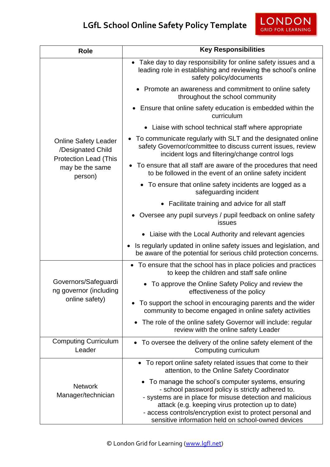| <b>Role</b>                                                                                                    | <b>Key Responsibilities</b>                                                                                                                                                                                                                                                                                                                   |
|----------------------------------------------------------------------------------------------------------------|-----------------------------------------------------------------------------------------------------------------------------------------------------------------------------------------------------------------------------------------------------------------------------------------------------------------------------------------------|
| <b>Online Safety Leader</b><br>/Designated Child<br><b>Protection Lead (This</b><br>may be the same<br>person) | • Take day to day responsibility for online safety issues and a<br>leading role in establishing and reviewing the school's online<br>safety policy/documents                                                                                                                                                                                  |
|                                                                                                                | Promote an awareness and commitment to online safety<br>throughout the school community                                                                                                                                                                                                                                                       |
|                                                                                                                | • Ensure that online safety education is embedded within the<br>curriculum                                                                                                                                                                                                                                                                    |
|                                                                                                                | Liaise with school technical staff where appropriate                                                                                                                                                                                                                                                                                          |
|                                                                                                                | To communicate regularly with SLT and the designated online<br>$\bullet$<br>safety Governor/committee to discuss current issues, review<br>incident logs and filtering/change control logs                                                                                                                                                    |
|                                                                                                                | • To ensure that all staff are aware of the procedures that need<br>to be followed in the event of an online safety incident                                                                                                                                                                                                                  |
|                                                                                                                | To ensure that online safety incidents are logged as a<br>$\bullet$<br>safeguarding incident                                                                                                                                                                                                                                                  |
|                                                                                                                | • Facilitate training and advice for all staff                                                                                                                                                                                                                                                                                                |
|                                                                                                                | Oversee any pupil surveys / pupil feedback on online safety<br>issues                                                                                                                                                                                                                                                                         |
|                                                                                                                | Liaise with the Local Authority and relevant agencies                                                                                                                                                                                                                                                                                         |
|                                                                                                                | Is regularly updated in online safety issues and legislation, and<br>be aware of the potential for serious child protection concerns.                                                                                                                                                                                                         |
|                                                                                                                | • To ensure that the school has in place policies and practices<br>to keep the children and staff safe online                                                                                                                                                                                                                                 |
| Governors/Safeguardi<br>ng governor (including<br>online safety)                                               | To approve the Online Safety Policy and review the<br>effectiveness of the policy                                                                                                                                                                                                                                                             |
|                                                                                                                | To support the school in encouraging parents and the wider<br>community to become engaged in online safety activities                                                                                                                                                                                                                         |
|                                                                                                                | The role of the online safety Governor will include: regular<br>review with the online safety Leader                                                                                                                                                                                                                                          |
| <b>Computing Curriculum</b><br>Leader                                                                          | • To oversee the delivery of the online safety element of the<br>Computing curriculum                                                                                                                                                                                                                                                         |
| <b>Network</b><br>Manager/technician                                                                           | • To report online safety related issues that come to their<br>attention, to the Online Safety Coordinator                                                                                                                                                                                                                                    |
|                                                                                                                | • To manage the school's computer systems, ensuring<br>- school password policy is strictly adhered to.<br>- systems are in place for misuse detection and malicious<br>attack (e.g. keeping virus protection up to date)<br>- access controls/encryption exist to protect personal and<br>sensitive information held on school-owned devices |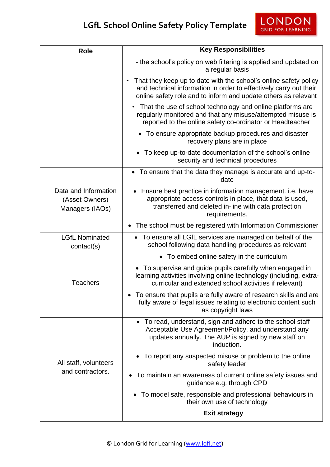# **LGfL School Online Safety Policy Template**

| <b>Role</b>                                               | <b>Key Responsibilities</b>                                                                                                                                                                             |  |
|-----------------------------------------------------------|---------------------------------------------------------------------------------------------------------------------------------------------------------------------------------------------------------|--|
|                                                           | - the school's policy on web filtering is applied and updated on<br>a regular basis                                                                                                                     |  |
|                                                           | That they keep up to date with the school's online safety policy<br>and technical information in order to effectively carry out their<br>online safety role and to inform and update others as relevant |  |
|                                                           | That the use of school technology and online platforms are<br>regularly monitored and that any misuse/attempted misuse is<br>reported to the online safety co-ordinator or Headteacher                  |  |
|                                                           | • To ensure appropriate backup procedures and disaster<br>recovery plans are in place                                                                                                                   |  |
|                                                           | • To keep up-to-date documentation of the school's online<br>security and technical procedures                                                                                                          |  |
|                                                           | • To ensure that the data they manage is accurate and up-to-<br>date                                                                                                                                    |  |
| Data and Information<br>(Asset Owners)<br>Managers (IAOs) | Ensure best practice in information management. i.e. have<br>appropriate access controls in place, that data is used,<br>transferred and deleted in-line with data protection<br>requirements.          |  |
|                                                           | The school must be registered with Information Commissioner<br>$\bullet$                                                                                                                                |  |
| <b>LGfL Nominated</b><br>contact(s)                       | • To ensure all LGfL services are managed on behalf of the<br>school following data handling procedures as relevant                                                                                     |  |
|                                                           | • To embed online safety in the curriculum                                                                                                                                                              |  |
| <b>Teachers</b>                                           | • To supervise and guide pupils carefully when engaged in<br>learning activities involving online technology (including, extra-<br>curricular and extended school activities if relevant)               |  |
|                                                           | To ensure that pupils are fully aware of research skills and are<br>fully aware of legal issues relating to electronic content such<br>as copyright laws                                                |  |
| All staff, volunteers<br>and contractors.                 | • To read, understand, sign and adhere to the school staff<br>Acceptable Use Agreement/Policy, and understand any<br>updates annually. The AUP is signed by new staff on<br>induction.                  |  |
|                                                           | To report any suspected misuse or problem to the online<br>safety leader                                                                                                                                |  |
|                                                           | To maintain an awareness of current online safety issues and<br>guidance e.g. through CPD                                                                                                               |  |
|                                                           | • To model safe, responsible and professional behaviours in<br>their own use of technology                                                                                                              |  |
|                                                           | <b>Exit strategy</b>                                                                                                                                                                                    |  |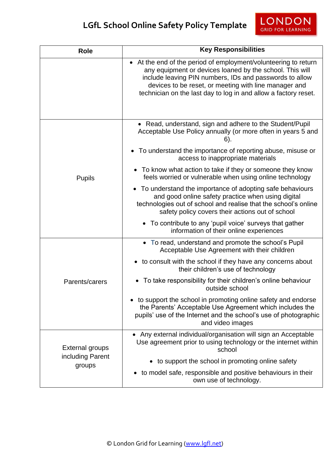# **LGfL School Online Safety Policy Template**

| <b>Role</b>                                          | <b>Key Responsibilities</b>                                                                                                                                                                                                                                                                                        |  |
|------------------------------------------------------|--------------------------------------------------------------------------------------------------------------------------------------------------------------------------------------------------------------------------------------------------------------------------------------------------------------------|--|
|                                                      | • At the end of the period of employment/volunteering to return<br>any equipment or devices loaned by the school. This will<br>include leaving PIN numbers, IDs and passwords to allow<br>devices to be reset, or meeting with line manager and<br>technician on the last day to log in and allow a factory reset. |  |
|                                                      | • Read, understand, sign and adhere to the Student/Pupil                                                                                                                                                                                                                                                           |  |
| <b>Pupils</b>                                        | Acceptable Use Policy annually (or more often in years 5 and<br>$6$ ).                                                                                                                                                                                                                                             |  |
|                                                      | To understand the importance of reporting abuse, misuse or<br>$\bullet$<br>access to inappropriate materials                                                                                                                                                                                                       |  |
|                                                      | • To know what action to take if they or someone they know<br>feels worried or vulnerable when using online technology                                                                                                                                                                                             |  |
|                                                      | • To understand the importance of adopting safe behaviours<br>and good online safety practice when using digital<br>technologies out of school and realise that the school's online<br>safety policy covers their actions out of school                                                                            |  |
|                                                      | • To contribute to any 'pupil voice' surveys that gather<br>information of their online experiences                                                                                                                                                                                                                |  |
| Parents/carers                                       | • To read, understand and promote the school's Pupil<br>Acceptable Use Agreement with their children                                                                                                                                                                                                               |  |
|                                                      | • to consult with the school if they have any concerns about<br>their children's use of technology                                                                                                                                                                                                                 |  |
|                                                      | To take responsibility for their children's online behaviour<br>outside school                                                                                                                                                                                                                                     |  |
|                                                      | to support the school in promoting online safety and endorse<br>the Parents' Acceptable Use Agreement which includes the<br>pupils' use of the Internet and the school's use of photographic<br>and video images                                                                                                   |  |
| <b>External groups</b><br>including Parent<br>groups | Any external individual/organisation will sign an Acceptable<br>Use agreement prior to using technology or the internet within<br>school                                                                                                                                                                           |  |
|                                                      | • to support the school in promoting online safety                                                                                                                                                                                                                                                                 |  |
|                                                      | to model safe, responsible and positive behaviours in their<br>own use of technology.                                                                                                                                                                                                                              |  |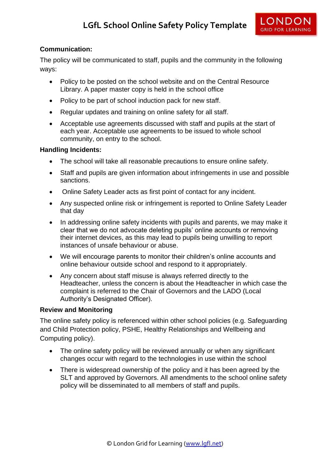## **Communication:**

The policy will be communicated to staff, pupils and the community in the following ways:

- Policy to be posted on the school website and on the Central Resource Library. A paper master copy is held in the school office
- Policy to be part of school induction pack for new staff.
- Regular updates and training on online safety for all staff.
- Acceptable use agreements discussed with staff and pupils at the start of each year. Acceptable use agreements to be issued to whole school community, on entry to the school.

#### **Handling Incidents:**

- The school will take all reasonable precautions to ensure online safety.
- Staff and pupils are given information about infringements in use and possible sanctions.
- Online Safety Leader acts as first point of contact for any incident.
- Any suspected online risk or infringement is reported to Online Safety Leader that day
- In addressing online safety incidents with pupils and parents, we may make it clear that we do not advocate deleting pupils' online accounts or removing their internet devices, as this may lead to pupils being unwilling to report instances of unsafe behaviour or abuse.
- We will encourage parents to monitor their children's online accounts and online behaviour outside school and respond to it appropriately.
- Any concern about staff misuse is always referred directly to the Headteacher, unless the concern is about the Headteacher in which case the complaint is referred to the Chair of Governors and the LADO (Local Authority's Designated Officer).

#### **Review and Monitoring**

The online safety policy is referenced within other school policies (e.g. Safeguarding and Child Protection policy, PSHE, Healthy Relationships and Wellbeing and Computing policy).

- The online safety policy will be reviewed annually or when any significant changes occur with regard to the technologies in use within the school
- There is widespread ownership of the policy and it has been agreed by the SLT and approved by Governors. All amendments to the school online safety policy will be disseminated to all members of staff and pupils.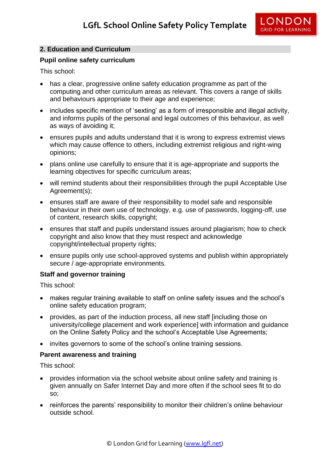

## **2. Education and Curriculum**

#### **Pupil online safety curriculum**

This school:

- has a clear, progressive online safety education programme as part of the computing and other curriculum areas as relevant. This covers a range of skills and behaviours appropriate to their age and experience;
- includes specific mention of 'sexting' as a form of irresponsible and illegal activity, and informs pupils of the personal and legal outcomes of this behaviour, as well as ways of avoiding it;
- ensures pupils and adults understand that it is wrong to express extremist views which may cause offence to others, including extremist religious and right-wing opinions;
- plans online use carefully to ensure that it is age-appropriate and supports the learning objectives for specific curriculum areas;
- will remind students about their responsibilities through the pupil Acceptable Use Agreement(s);
- ensures staff are aware of their responsibility to model safe and responsible behaviour in their own use of technology, e.g. use of passwords, logging-off, use of content, research skills, copyright;
- ensures that staff and pupils understand issues around plagiarism; how to check copyright and also know that they must respect and acknowledge copyright/intellectual property rights;
- ensure pupils only use school-approved systems and publish within appropriately secure / age-appropriate environments.

#### **Staff and governor training**

This school:

- makes regular training available to staff on online safety issues and the school's online safety education program;
- provides, as part of the induction process, all new staff [including those on university/college placement and work experience] with information and guidance on the Online Safety Policy and the school's Acceptable Use Agreements;
- invites governors to some of the school's online training sessions.

#### **Parent awareness and training**

This school:

- provides information via the school website about online safety and training is given annually on Safer Internet Day and more often if the school sees fit to do so;
- reinforces the parents' responsibility to monitor their children's online behaviour outside school.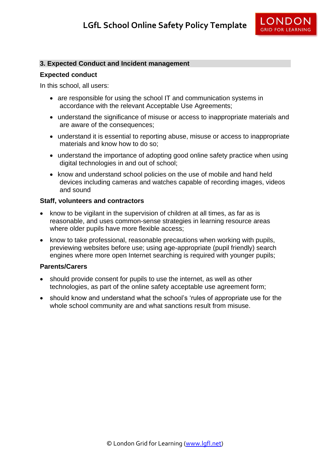

#### **3. Expected Conduct and Incident management**

#### **Expected conduct**

In this school, all users:

- are responsible for using the school IT and communication systems in accordance with the relevant Acceptable Use Agreements;
- understand the significance of misuse or access to inappropriate materials and are aware of the consequences;
- understand it is essential to reporting abuse, misuse or access to inappropriate materials and know how to do so;
- understand the importance of adopting good online safety practice when using digital technologies in and out of school;
- know and understand school policies on the use of mobile and hand held devices including cameras and watches capable of recording images, videos and sound

#### **Staff, volunteers and contractors**

- know to be vigilant in the supervision of children at all times, as far as is reasonable, and uses common-sense strategies in learning resource areas where older pupils have more flexible access:
- know to take professional, reasonable precautions when working with pupils, previewing websites before use; using age-appropriate (pupil friendly) search engines where more open Internet searching is required with younger pupils;

#### **Parents/Carers**

- should provide consent for pupils to use the internet, as well as other technologies, as part of the online safety acceptable use agreement form;
- should know and understand what the school's 'rules of appropriate use for the whole school community are and what sanctions result from misuse.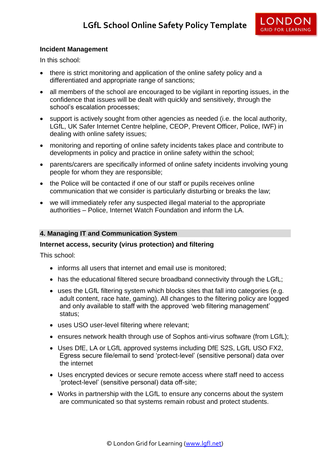

### **Incident Management**

In this school:

- there is strict monitoring and application of the online safety policy and a differentiated and appropriate range of sanctions;
- all members of the school are encouraged to be vigilant in reporting issues, in the confidence that issues will be dealt with quickly and sensitively, through the school's escalation processes;
- support is actively sought from other agencies as needed (i.e. the local authority, LGfL, UK Safer Internet Centre helpline, CEOP, Prevent Officer, Police, IWF) in dealing with online safety issues;
- monitoring and reporting of online safety incidents takes place and contribute to developments in policy and practice in online safety within the school;
- parents/carers are specifically informed of online safety incidents involving young people for whom they are responsible;
- the Police will be contacted if one of our staff or pupils receives online communication that we consider is particularly disturbing or breaks the law;
- we will immediately refer any suspected illegal material to the appropriate authorities – Police, Internet Watch Foundation and inform the LA.

#### **4. Managing IT and Communication System**

#### **Internet access, security (virus protection) and filtering**

This school:

- informs all users that internet and email use is monitored;
- has the educational filtered secure broadband connectivity through the LGfL:
- uses the LGfL filtering system which blocks sites that fall into categories (e.g. adult content, race hate, gaming). All changes to the filtering policy are logged and only available to staff with the approved 'web filtering management' status;
- uses USO user-level filtering where relevant;
- ensures network health through use of Sophos anti-virus software (from LGfL);
- Uses DfE, LA or LGfL approved systems including DfE S2S, LGfL USO FX2, Egress secure file/email to send 'protect-level' (sensitive personal) data over the internet
- Uses encrypted devices or secure remote access where staff need to access 'protect-level' (sensitive personal) data off-site;
- Works in partnership with the LGfL to ensure any concerns about the system are communicated so that systems remain robust and protect students.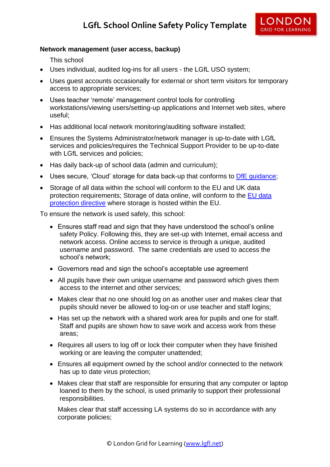

## **Network management (user access, backup)**

This school

- Uses individual, audited log-ins for all users the LGfL USO system;
- Uses guest accounts occasionally for external or short term visitors for temporary access to appropriate services;
- Uses teacher 'remote' management control tools for controlling workstations/viewing users/setting-up applications and Internet web sites, where useful;
- Has additional local network monitoring/auditing software installed;
- Ensures the Systems Administrator/network manager is up-to-date with LGfL services and policies/requires the Technical Support Provider to be up-to-date with LGfL services and policies;
- Has daily back-up of school data (admin and curriculum);
- Uses secure, 'Cloud' storage for data back-up that conforms to DfE quidance;
- Storage of all data within the school will conform to the EU and UK data protection requirements; Storage of data online, will conform to the [EU data](http://en.wikipedia.org/wiki/Data_Protection_Directive)  [protection directive](http://en.wikipedia.org/wiki/Data_Protection_Directive) where storage is hosted within the EU.

To ensure the network is used safely, this school:

- Ensures staff read and sign that they have understood the school's online safety Policy. Following this, they are set-up with Internet, email access and network access. Online access to service is through a unique, audited username and password. The same credentials are used to access the school's network;
- Governors read and sign the school's acceptable use agreement
- All pupils have their own unique username and password which gives them access to the internet and other services;
- Makes clear that no one should log on as another user and makes clear that pupils should never be allowed to log-on or use teacher and staff logins;
- Has set up the network with a shared work area for pupils and one for staff. Staff and pupils are shown how to save work and access work from these areas;
- Requires all users to log off or lock their computer when they have finished working or are leaving the computer unattended;
- Ensures all equipment owned by the school and/or connected to the network has up to date virus protection;
- Makes clear that staff are responsible for ensuring that any computer or laptop loaned to them by the school, is used primarily to support their professional responsibilities.

Makes clear that staff accessing LA systems do so in accordance with any corporate policies;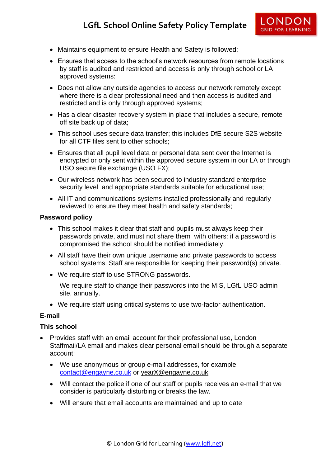- Maintains equipment to ensure Health and Safety is followed;
- Ensures that access to the school's network resources from remote locations by staff is audited and restricted and access is only through school or LA approved systems:
- Does not allow any outside agencies to access our network remotely except where there is a clear professional need and then access is audited and restricted and is only through approved systems;
- Has a clear disaster recovery system in place that includes a secure, remote off site back up of data;
- This school uses secure data transfer; this includes DfE secure S2S website for all CTF files sent to other schools;
- Ensures that all pupil level data or personal data sent over the Internet is encrypted or only sent within the approved secure system in our LA or through USO secure file exchange (USO FX);
- Our wireless network has been secured to industry standard enterprise security level and appropriate standards suitable for educational use;
- All IT and communications systems installed professionally and regularly reviewed to ensure they meet health and safety standards;

#### **Password policy**

- This school makes it clear that staff and pupils must always keep their passwords private, and must not share them with others: if a password is compromised the school should be notified immediately.
- All staff have their own unique username and private passwords to access school systems. Staff are responsible for keeping their password(s) private.
- We require staff to use STRONG passwords.

We require staff to change their passwords into the MIS, LGfL USO admin site, annually.

We require staff using critical systems to use two-factor authentication.

#### **E-mail**

#### **This school**

- Provides staff with an email account for their professional use, London Staffmail/LA email and makes clear personal email should be through a separate account;
	- We use anonymous or group e-mail addresses, for example [contact@engayne.co.uk](mailto:contact@engayne.co.uk) or [yearX@engayne.co.uk](mailto:yearX@engayne.co.uk)
	- Will contact the police if one of our staff or pupils receives an e-mail that we consider is particularly disturbing or breaks the law.
	- Will ensure that email accounts are maintained and up to date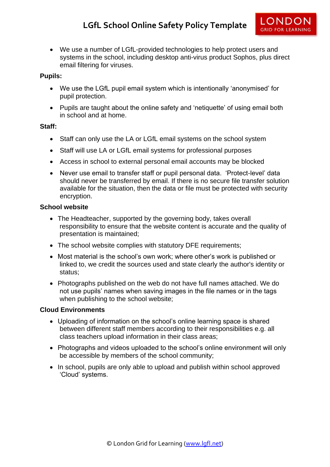

 We use a number of LGfL-provided technologies to help protect users and systems in the school, including desktop anti-virus product Sophos, plus direct email filtering for viruses.

## **Pupils:**

- We use the LGfL pupil email system which is intentionally 'anonymised' for pupil protection.
- Pupils are taught about the online safety and 'netiquette' of using email both in school and at home.

#### **Staff:**

- Staff can only use the LA or LGfL email systems on the school system
- Staff will use LA or LGfL email systems for professional purposes
- Access in school to external personal email accounts may be blocked
- Never use email to transfer staff or pupil personal data. 'Protect-level' data should never be transferred by email. If there is no secure file transfer solution available for the situation, then the data or file must be protected with security encryption.

## **School website**

- The Headteacher, supported by the governing body, takes overall responsibility to ensure that the website content is accurate and the quality of presentation is maintained;
- The school website complies with statutory DFE requirements;
- Most material is the school's own work; where other's work is published or linked to, we credit the sources used and state clearly the author's identity or status;
- Photographs published on the web do not have full names attached. We do not use pupils' names when saving images in the file names or in the tags when publishing to the school website;

## **Cloud Environments**

- Uploading of information on the school's online learning space is shared between different staff members according to their responsibilities e.g. all class teachers upload information in their class areas;
- Photographs and videos uploaded to the school's online environment will only be accessible by members of the school community;
- In school, pupils are only able to upload and publish within school approved 'Cloud' systems.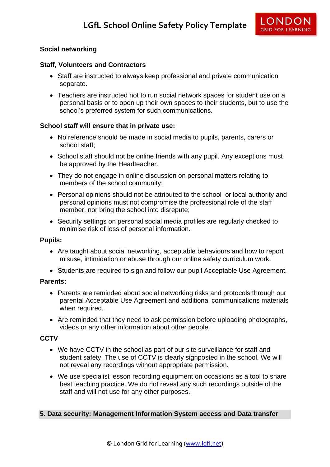## **Social networking**

#### **Staff, Volunteers and Contractors**

- Staff are instructed to always keep professional and private communication separate.
- Teachers are instructed not to run social network spaces for student use on a personal basis or to open up their own spaces to their students, but to use the school's preferred system for such communications.

## **School staff will ensure that in private use:**

- No reference should be made in social media to pupils, parents, carers or school staff;
- School staff should not be online friends with any pupil. Any exceptions must be approved by the Headteacher.
- They do not engage in online discussion on personal matters relating to members of the school community;
- Personal opinions should not be attributed to the school or local authority and personal opinions must not compromise the professional role of the staff member, nor bring the school into disrepute;
- Security settings on personal social media profiles are regularly checked to minimise risk of loss of personal information.

#### **Pupils:**

- Are taught about social networking, acceptable behaviours and how to report misuse, intimidation or abuse through our online safety curriculum work.
- Students are required to sign and follow our pupil Acceptable Use Agreement.

#### **Parents:**

- Parents are reminded about social networking risks and protocols through our parental Acceptable Use Agreement and additional communications materials when required.
- Are reminded that they need to ask permission before uploading photographs, videos or any other information about other people.

#### **CCTV**

- We have CCTV in the school as part of our site surveillance for staff and student safety. The use of CCTV is clearly signposted in the school. We will not reveal any recordings without appropriate permission.
- We use specialist lesson recording equipment on occasions as a tool to share best teaching practice. We do not reveal any such recordings outside of the staff and will not use for any other purposes.

#### **5. Data security: Management Information System access and Data transfer**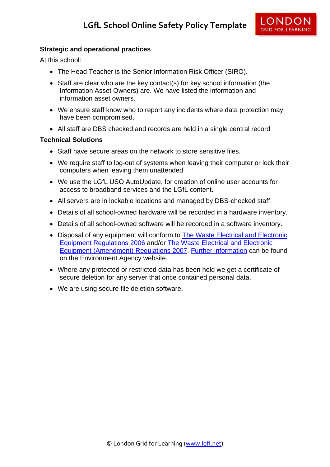

## **Strategic and operational practices**

At this school:

- The Head Teacher is the Senior Information Risk Officer (SIRO).
- Staff are clear who are the key contact(s) for key school information (the Information Asset Owners) are. We have listed the information and information asset owners.
- We ensure staff know who to report any incidents where data protection may have been compromised.
- All staff are DBS checked and records are held in a single central record

## **Technical Solutions**

- Staff have secure areas on the network to store sensitive files.
- We require staff to log-out of systems when leaving their computer or lock their computers when leaving them unattended
- We use the LGfL USO AutoUpdate, for creation of online user accounts for access to broadband services and the LGfL content.
- All servers are in lockable locations and managed by DBS-checked staff.
- Details of all school-owned hardware will be recorded in a hardware inventory.
- Details of all school-owned software will be recorded in a software inventory.
- Disposal of any equipment will conform to The Waste Electrical and Electronic [Equipment Regulations 2006](http://www.legislation.gov.uk/uksi/2006/3289/pdfs/uksi_20063289_en.pdf) and/or [The Waste Electrical and Electronic](http://www.legislation.gov.uk/uksi/2007/3454/pdfs/uksi_20073454_en.pdf)  [Equipment \(Amendment\) Regulations 2007.](http://www.legislation.gov.uk/uksi/2007/3454/pdfs/uksi_20073454_en.pdf) [Further information](http://www.environment-agency.gov.uk/business/topics/waste/32084.aspx) can be found on the Environment Agency website.
- Where any protected or restricted data has been held we get a certificate of secure deletion for any server that once contained personal data.
- We are using secure file deletion software.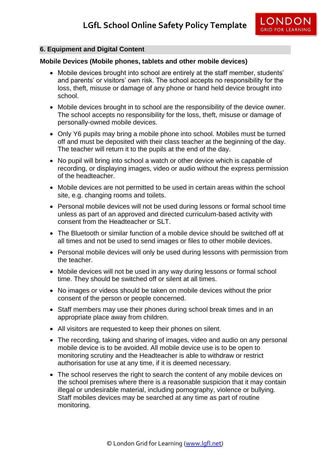

#### **6. Equipment and Digital Content**

#### **Mobile Devices (Mobile phones, tablets and other mobile devices)**

- Mobile devices brought into school are entirely at the staff member, students' and parents' or visitors' own risk. The school accepts no responsibility for the loss, theft, misuse or damage of any phone or hand held device brought into school.
- Mobile devices brought in to school are the responsibility of the device owner. The school accepts no responsibility for the loss, theft, misuse or damage of personally-owned mobile devices.
- Only Y6 pupils may bring a mobile phone into school. Mobiles must be turned off and must be deposited with their class teacher at the beginning of the day. The teacher will return it to the pupils at the end of the day.
- No pupil will bring into school a watch or other device which is capable of recording, or displaying images, video or audio without the express permission of the headteacher.
- Mobile devices are not permitted to be used in certain areas within the school site, e.g. changing rooms and toilets.
- Personal mobile devices will not be used during lessons or formal school time unless as part of an approved and directed curriculum-based activity with consent from the Headteacher or SLT.
- The Bluetooth or similar function of a mobile device should be switched off at all times and not be used to send images or files to other mobile devices.
- Personal mobile devices will only be used during lessons with permission from the teacher.
- Mobile devices will not be used in any way during lessons or formal school time. They should be switched off or silent at all times.
- No images or videos should be taken on mobile devices without the prior consent of the person or people concerned.
- Staff members may use their phones during school break times and in an appropriate place away from children.
- All visitors are requested to keep their phones on silent.
- The recording, taking and sharing of images, video and audio on any personal mobile device is to be avoided. All mobile device use is to be open to monitoring scrutiny and the Headteacher is able to withdraw or restrict authorisation for use at any time, if it is deemed necessary.
- The school reserves the right to search the content of any mobile devices on the school premises where there is a reasonable suspicion that it may contain illegal or undesirable material, including pornography, violence or bullying. Staff mobiles devices may be searched at any time as part of routine monitoring.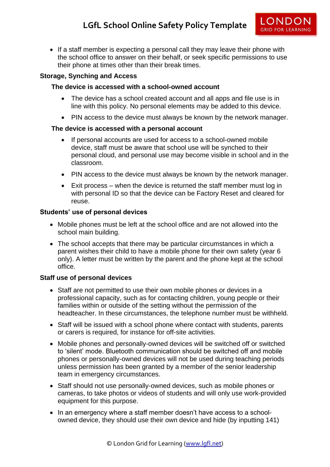• If a staff member is expecting a personal call they may leave their phone with the school office to answer on their behalf, or seek specific permissions to use their phone at times other than their break times.

## **Storage, Synching and Access**

#### **The device is accessed with a school-owned account**

- The device has a school created account and all apps and file use is in line with this policy. No personal elements may be added to this device.
- PIN access to the device must always be known by the network manager.

#### **The device is accessed with a personal account**

- If personal accounts are used for access to a school-owned mobile device, staff must be aware that school use will be synched to their personal cloud, and personal use may become visible in school and in the classroom.
- PIN access to the device must always be known by the network manager.
- Exit process when the device is returned the staff member must log in with personal ID so that the device can be Factory Reset and cleared for reuse.

#### **Students' use of personal devices**

- Mobile phones must be left at the school office and are not allowed into the school main building.
- The school accepts that there may be particular circumstances in which a parent wishes their child to have a mobile phone for their own safety (year 6 only). A letter must be written by the parent and the phone kept at the school office.

#### **Staff use of personal devices**

- Staff are not permitted to use their own mobile phones or devices in a professional capacity, such as for contacting children, young people or their families within or outside of the setting without the permission of the headteacher. In these circumstances, the telephone number must be withheld.
- Staff will be issued with a school phone where contact with students, parents or carers is required, for instance for off-site activities.
- Mobile phones and personally-owned devices will be switched off or switched to 'silent' mode. Bluetooth communication should be switched off and mobile phones or personally-owned devices will not be used during teaching periods unless permission has been granted by a member of the senior leadership team in emergency circumstances.
- Staff should not use personally-owned devices, such as mobile phones or cameras, to take photos or videos of students and will only use work-provided equipment for this purpose.
- In an emergency where a staff member doesn't have access to a schoolowned device, they should use their own device and hide (by inputting 141)